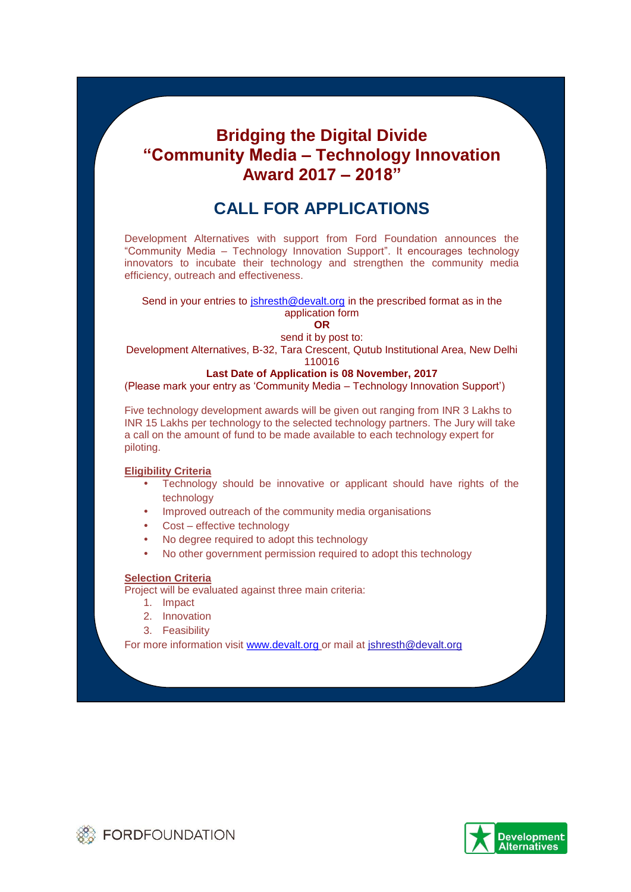# **Bridging the Digital Divide "Community Media – Technology Innovation Award 2017 – 2018"**

# **CALL FOR APPLICATIONS**

Development Alternatives with support from Ford Foundation announces the "Community Media – Technology Innovation Support". It encourages technology innovators to incubate their technology and strengthen the community media efficiency, outreach and effectiveness.

## Send in your entries to jshresth@devalt.org in the prescribed format as in the application form

**OR**

send it by post to: Development Alternatives, B-32, Tara Crescent, Qutub Institutional Area, New Delhi

110016

#### **Last Date of Application is 08 November, 2017**

(Please mark your entry as 'Community Media – Technology Innovation Support')

Five technology development awards will be given out ranging from INR 3 Lakhs to INR 15 Lakhs per technology to the selected technology partners. The Jury will take a call on the amount of fund to be made available to each technology expert for piloting.

### **Eligibility Criteria**

- C Technology should be innovative or applicant should have rights of the technology
- C Improved outreach of the community media organisations
- Cost effective technology
- C No degree required to adopt this technology
- No other government permission required to adopt this technology

#### **Selection Criteria**

Project will be evaluated against three main criteria:

- 1. Impact
- 2. Innovation
- 3. Feasibility

For more information visit www.devalt.org or mail at jshresth@devalt.org



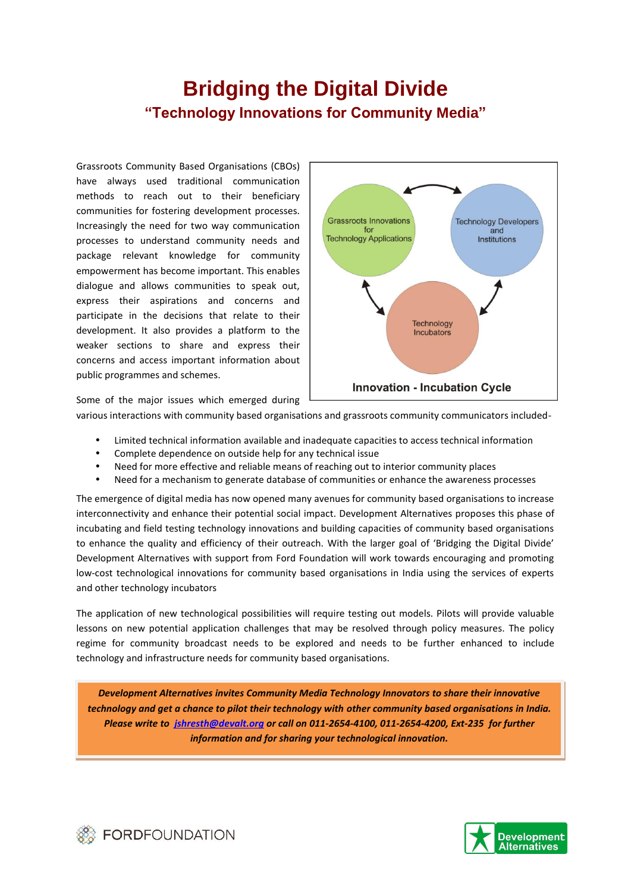# **Bridging the Digital Divide "Technology Innovations for Community Media"**

Grassroots Community Based Organisations (CBOs) have always used traditional communication methods to reach out to their beneficiary communities for fostering development processes. Increasingly the need for two way communication processes to understand community needs and package relevant knowledge for community empowerment has become important. This enables dialogue and allows communities to speak out, express their aspirations and concerns and participate in the decisions that relate to their development. It also provides a platform to the weaker sections to share and express their concerns and access important information about public programmes and schemes.



Some of the major issues which emerged during

- various interactions with community based organisations and grassroots community communicators included-
	- Limited technical information available and inadequate capacities to access technical information
	- Complete dependence on outside help for any technical issue
	- Need for more effective and reliable means of reaching out to interior community places
	- Need for a mechanism to generate database of communities or enhance the awareness processes

The emergence of digital media has now opened many avenues for community based organisations to increase interconnectivity and enhance their potential social impact. Development Alternatives proposes this phase of incubating and field testing technology innovations and building capacities of community based organisations to enhance the quality and efficiency of their outreach. With the larger goal of 'Bridging the Digital Divide' Development Alternatives with support from Ford Foundation will work towards encouraging and promoting low-cost technological innovations for community based organisations in India using the services of experts and other technology incubators

The application of new technological possibilities will require testing out models. Pilots will provide valuable lessons on new potential application challenges that may be resolved through policy measures. The policy regime for community broadcast needs to be explored and needs to be further enhanced to include technology and infrastructure needs for community based organisations.

*Development Alternatives invites Community Media Technology Innovators to share their innovative technology and get a chance to pilot their technology with other community based organisations in India. Please write to [jshresth@devalt.org](mailto:jshresth@devalt.org) or call on 011-2654-4100, 011-2654-4200, Ext-235 for further information and for sharing your technological innovation.*



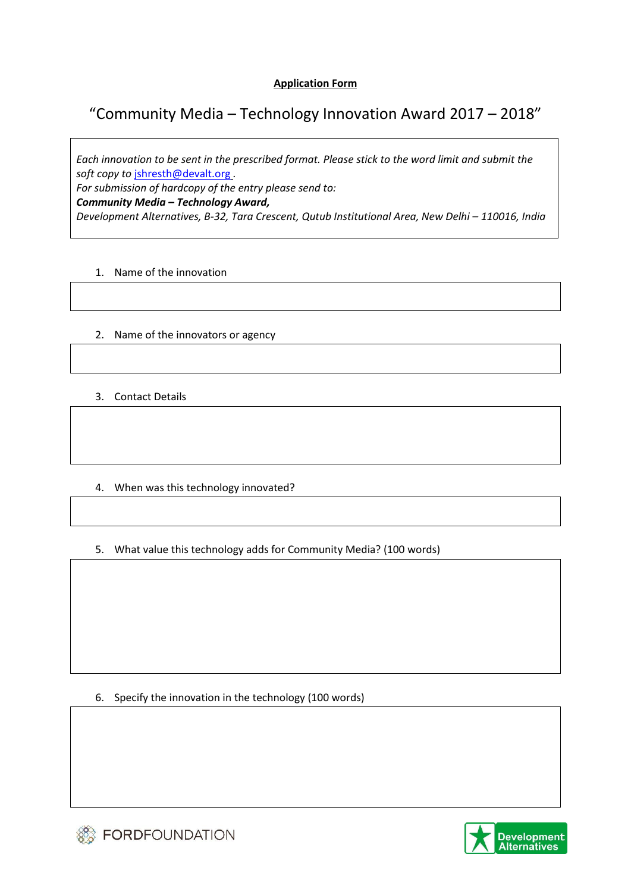## **Application Form**

## "Community Media – Technology Innovation Award 2017 – 2018"

*Each innovation to be sent in the prescribed format. Please stick to the word limit and submit the soft copy to* [jshresth@devalt.org](mailto:jshresth@devalt.org) *.* 

*For submission of hardcopy of the entry please send to:*

*Community Media – Technology Award,* 

*Development Alternatives, B-32, Tara Crescent, Qutub Institutional Area, New Delhi – 110016, India*

## 1. Name of the innovation

### 2. Name of the innovators or agency

- 3. Contact Details
- 4. When was this technology innovated?
- 5. What value this technology adds for Community Media? (100 words)

6. Specify the innovation in the technology (100 words)



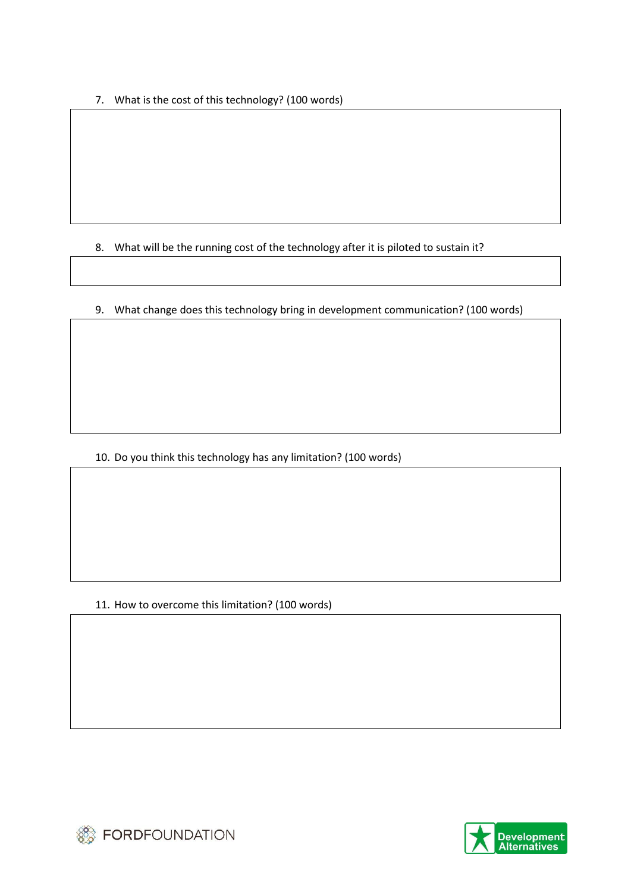7. What is the cost of this technology? (100 words)

8. What will be the running cost of the technology after it is piloted to sustain it?

9. What change does this technology bring in development communication? (100 words)

10. Do you think this technology has any limitation? (100 words)

11. How to overcome this limitation? (100 words)



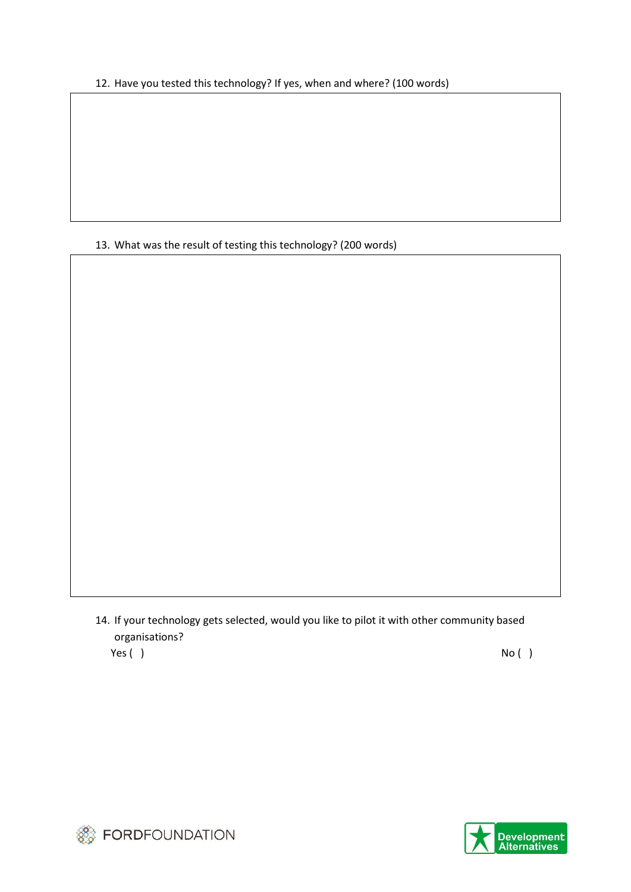12. Have you tested this technology? If yes, when and where? (100 words)

13. What was the result of testing this technology? (200 words)

14. If your technology gets selected, would you like to pilot it with other community based organisations?

Yes ( ) No ( )



**SO FORDFOUNDATION**